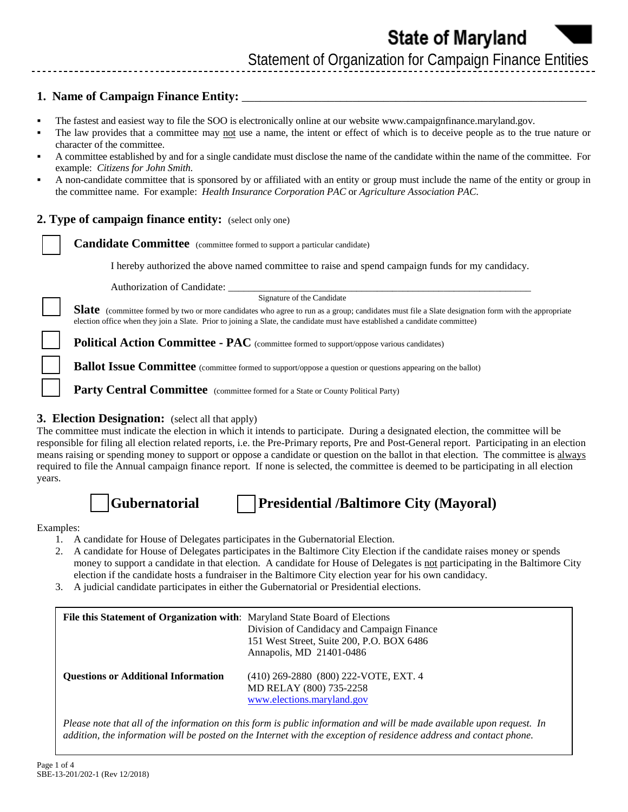### **1. Name of Campaign Finance Entity:**

- The fastest and easiest way to file the SOO is electronically online at our website [www.campaignfinance.maryland.gov.](www.campaignfinance.maryland.gov)
- The law provides that a committee may not use a name, the intent or effect of which is to deceive people as to the true nature or character of the committee.
- A committee established by and for a single candidate must disclose the name of the candidate within the name of the committee. For example: *Citizens for John Smith.*
- A non-candidate committee that is sponsored by or affiliated with an entity or group must include the name of the entity or group in the committee name. For example: *Health Insurance Corporation PAC* or *Agriculture Association PAC*.

#### **2. Type of campaign finance entity:** (select only one)

**Candidate Committee** (committee formed to support a particular candidate)

I hereby authorized the above named committee to raise and spend campaign funds for my candidacy.

Authorization of Candidate:

Signature of the Candidate

**Slate** (committee formed by two or more candidates who agree to run as a group; candidates must file a Slate designation form with the appropriate election office when they join a Slate. Prior to joining a Slate, the candidate must have established a candidate committee)

**Political Action Committee - PAC** (committee formed to support/oppose various candidates)

**Ballot Issue Committee** (committee formed to support/oppose a question or questions appearing on the ballot)

**Party Central Committee** (committee formed for a State or County Political Party)

#### **3. Election Designation:** (select all that apply)

The committee must indicate the election in which it intends to participate. During a designated election, the committee will be responsible for filing all election related reports, i.e. the Pre-Primary reports, Pre and Post-General report. Participating in an election means raising or spending money to support or oppose a candidate or question on the ballot in that election. The committee is always required to file the Annual campaign finance report. If none is selected, the committee is deemed to be participating in all election years.

**Gubernatorial Presidential /Baltimore City (Mayoral)**

Examples:

- 1. A candidate for House of Delegates participates in the Gubernatorial Election.
- 2. A candidate for House of Delegates participates in the Baltimore City Election if the candidate raises money or spends money to support a candidate in that election. A candidate for House of Delegates is not participating in the Baltimore City election if the candidate hosts a fundraiser in the Baltimore City election year for his own candidacy.
- 3. A judicial candidate participates in either the Gubernatorial or Presidential elections.

| File this Statement of Organization with: Maryland State Board of Elections | Division of Candidacy and Campaign Finance<br>151 West Street, Suite 200, P.O. BOX 6486<br>Annapolis, MD 21401-0486 |
|-----------------------------------------------------------------------------|---------------------------------------------------------------------------------------------------------------------|
| <b>Ouestions or Additional Information</b>                                  | (410) 269-2880 (800) 222-VOTE, EXT. 4<br>MD RELAY (800) 735-2258<br>www.elections.maryland.gov                      |

*Please note that all of the information on this form is public information and will be made available upon request. In addition, the information will be posted on the Internet with the exception of residence address and contact phone.*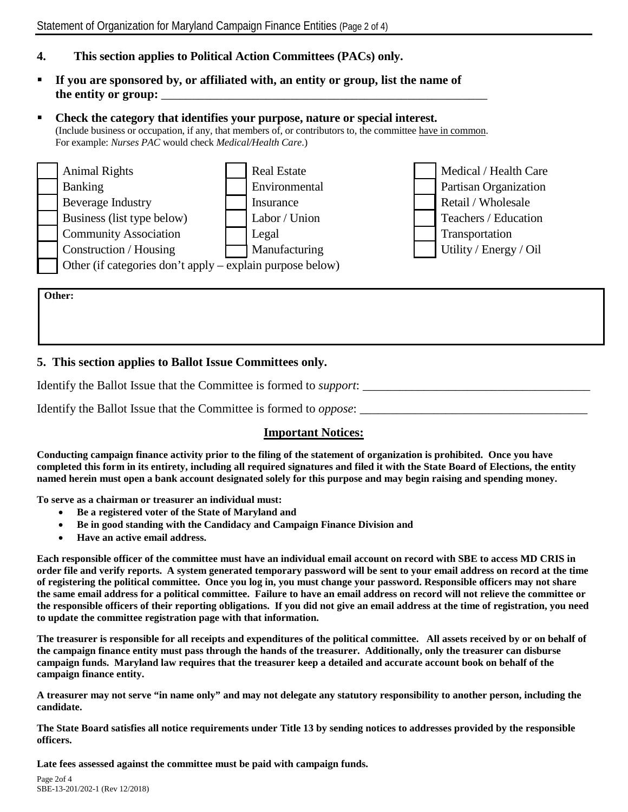# **4. This section applies to Political Action Committees (PACs) only.**

 **If you are sponsored by, or affiliated with, an entity or group, list the name of**  the entity or group:

# **Check the category that identifies your purpose, nature or special interest.**  (Include business or occupation, if any, that members of, or contributors to, the committee have in common. For example: *Nurses PAC* would check *Medical/Health Care*.)



**Other:** 

## **5. This section applies to Ballot Issue Committees only.**

Identify the Ballot Issue that the Committee is formed to *support*:

Identify the Ballot Issue that the Committee is formed to *oppose*:

### **Important Notices:**

**Conducting campaign finance activity prior to the filing of the statement of organization is prohibited. Once you have completed this form in its entirety, including all required signatures and filed it with the State Board of Elections, the entity named herein must open a bank account designated solely for this purpose and may begin raising and spending money.** 

**To serve as a chairman or treasurer an individual must:**

- **Be a registered voter of the State of Maryland and**
- **Be in good standing with the Candidacy and Campaign Finance Division and**
- **Have an active email address.**

**Each responsible officer of the committee must have an individual email account on record with SBE to access MD CRIS in order file and verify reports. A system generated temporary password will be sent to your email address on record at the time of registering the political committee. Once you log in, you must change your password. Responsible officers may not share the same email address for a political committee. Failure to have an email address on record will not relieve the committee or the responsible officers of their reporting obligations. If you did not give an email address at the time of registration, you need to update the committee registration page with that information.**

**The treasurer is responsible for all receipts and expenditures of the political committee. All assets received by or on behalf of the campaign finance entity must pass through the hands of the treasurer. Additionally, only the treasurer can disburse campaign funds. Maryland law requires that the treasurer keep a detailed and accurate account book on behalf of the campaign finance entity.** 

**A treasurer may not serve "in name only" and may not delegate any statutory responsibility to another person, including the candidate.** 

**The State Board satisfies all notice requirements under Title 13 by sending notices to addresses provided by the responsible officers.** 

**Late fees assessed against the committee must be paid with campaign funds.**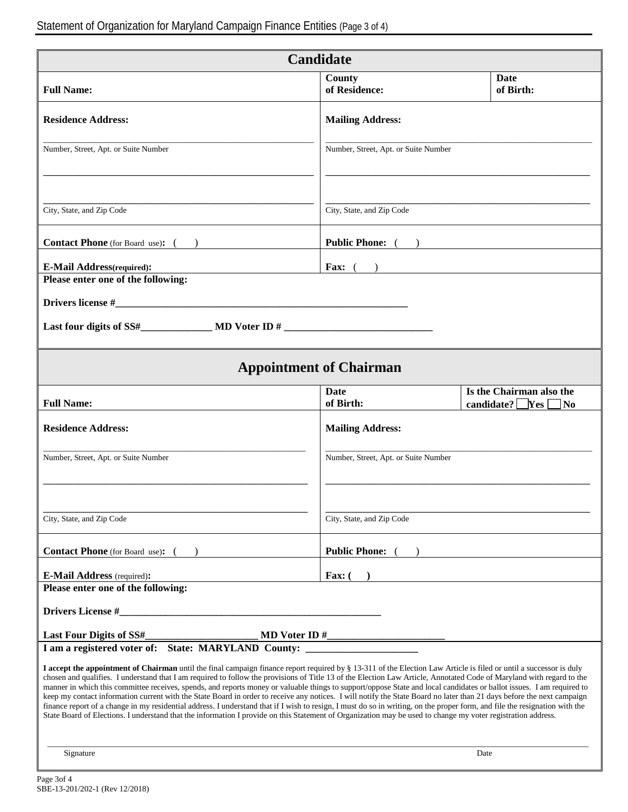|                                                                                                                                                                                                                                                                                                                                                                                                                                                                                                                                                                                                                                                                                                                                                                                                                                                                                                                                                                                                                                                | <b>Candidate</b>                                                                  |                                                                  |
|------------------------------------------------------------------------------------------------------------------------------------------------------------------------------------------------------------------------------------------------------------------------------------------------------------------------------------------------------------------------------------------------------------------------------------------------------------------------------------------------------------------------------------------------------------------------------------------------------------------------------------------------------------------------------------------------------------------------------------------------------------------------------------------------------------------------------------------------------------------------------------------------------------------------------------------------------------------------------------------------------------------------------------------------|-----------------------------------------------------------------------------------|------------------------------------------------------------------|
| <b>Full Name:</b>                                                                                                                                                                                                                                                                                                                                                                                                                                                                                                                                                                                                                                                                                                                                                                                                                                                                                                                                                                                                                              | County<br>of Residence:                                                           | Date<br>of Birth:                                                |
| <b>Residence Address:</b>                                                                                                                                                                                                                                                                                                                                                                                                                                                                                                                                                                                                                                                                                                                                                                                                                                                                                                                                                                                                                      | <b>Mailing Address:</b>                                                           |                                                                  |
| Number, Street, Apt. or Suite Number                                                                                                                                                                                                                                                                                                                                                                                                                                                                                                                                                                                                                                                                                                                                                                                                                                                                                                                                                                                                           | Number, Street, Apt. or Suite Number                                              |                                                                  |
|                                                                                                                                                                                                                                                                                                                                                                                                                                                                                                                                                                                                                                                                                                                                                                                                                                                                                                                                                                                                                                                |                                                                                   |                                                                  |
| City, State, and Zip Code                                                                                                                                                                                                                                                                                                                                                                                                                                                                                                                                                                                                                                                                                                                                                                                                                                                                                                                                                                                                                      | City, State, and Zip Code                                                         |                                                                  |
| <b>Contact Phone</b> (for Board use): $($                                                                                                                                                                                                                                                                                                                                                                                                                                                                                                                                                                                                                                                                                                                                                                                                                                                                                                                                                                                                      | Public Phone: ( )                                                                 |                                                                  |
| <b>E-Mail Address</b> (required):<br>Please enter one of the following:                                                                                                                                                                                                                                                                                                                                                                                                                                                                                                                                                                                                                                                                                                                                                                                                                                                                                                                                                                        | <b>Fax:</b> $($<br>) and the contract of the contract of $\overline{\phantom{a}}$ |                                                                  |
|                                                                                                                                                                                                                                                                                                                                                                                                                                                                                                                                                                                                                                                                                                                                                                                                                                                                                                                                                                                                                                                |                                                                                   |                                                                  |
|                                                                                                                                                                                                                                                                                                                                                                                                                                                                                                                                                                                                                                                                                                                                                                                                                                                                                                                                                                                                                                                |                                                                                   |                                                                  |
|                                                                                                                                                                                                                                                                                                                                                                                                                                                                                                                                                                                                                                                                                                                                                                                                                                                                                                                                                                                                                                                | <b>Appointment of Chairman</b>                                                    |                                                                  |
| <b>Full Name:</b>                                                                                                                                                                                                                                                                                                                                                                                                                                                                                                                                                                                                                                                                                                                                                                                                                                                                                                                                                                                                                              | <b>Date</b><br>of Birth:                                                          | Is the Chairman also the<br>candidate? $\Box$ Yes [<br>$\Box$ No |
| <b>Residence Address:</b>                                                                                                                                                                                                                                                                                                                                                                                                                                                                                                                                                                                                                                                                                                                                                                                                                                                                                                                                                                                                                      | <b>Mailing Address:</b>                                                           |                                                                  |
| Number, Street, Apt. or Suite Number                                                                                                                                                                                                                                                                                                                                                                                                                                                                                                                                                                                                                                                                                                                                                                                                                                                                                                                                                                                                           | Number, Street, Apt. or Suite Number                                              |                                                                  |
|                                                                                                                                                                                                                                                                                                                                                                                                                                                                                                                                                                                                                                                                                                                                                                                                                                                                                                                                                                                                                                                |                                                                                   |                                                                  |
| City, State, and Zip Code                                                                                                                                                                                                                                                                                                                                                                                                                                                                                                                                                                                                                                                                                                                                                                                                                                                                                                                                                                                                                      | City, State, and Zip Code                                                         |                                                                  |
| <b>Contact Phone</b> (for Board use): ( )                                                                                                                                                                                                                                                                                                                                                                                                                                                                                                                                                                                                                                                                                                                                                                                                                                                                                                                                                                                                      | <b>Public Phone:</b> (                                                            |                                                                  |
| <b>E-Mail Address</b> (required):                                                                                                                                                                                                                                                                                                                                                                                                                                                                                                                                                                                                                                                                                                                                                                                                                                                                                                                                                                                                              | Fax: $($                                                                          |                                                                  |
| Please enter one of the following:                                                                                                                                                                                                                                                                                                                                                                                                                                                                                                                                                                                                                                                                                                                                                                                                                                                                                                                                                                                                             |                                                                                   |                                                                  |
| Drivers License #                                                                                                                                                                                                                                                                                                                                                                                                                                                                                                                                                                                                                                                                                                                                                                                                                                                                                                                                                                                                                              |                                                                                   |                                                                  |
| Last Four Digits of SS#<br>I am a registered voter of: State: MARYLAND County:                                                                                                                                                                                                                                                                                                                                                                                                                                                                                                                                                                                                                                                                                                                                                                                                                                                                                                                                                                 |                                                                                   |                                                                  |
| I accept the appointment of Chairman until the final campaign finance report required by § 13-311 of the Election Law Article is filed or until a successor is duly<br>chosen and qualifies. I understand that I am required to follow the provisions of Title 13 of the Election Law Article, Annotated Code of Maryland with regard to the<br>manner in which this committee receives, spends, and reports money or valuable things to support/oppose State and local candidates or ballot issues. I am required to<br>keep my contact information current with the State Board in order to receive any notices. I will notify the State Board no later than 21 days before the next campaign<br>finance report of a change in my residential address. I understand that if I wish to resign, I must do so in writing, on the proper form, and file the resignation with the<br>State Board of Elections. I understand that the information I provide on this Statement of Organization may be used to change my voter registration address. |                                                                                   |                                                                  |
| Signature                                                                                                                                                                                                                                                                                                                                                                                                                                                                                                                                                                                                                                                                                                                                                                                                                                                                                                                                                                                                                                      |                                                                                   | Date                                                             |